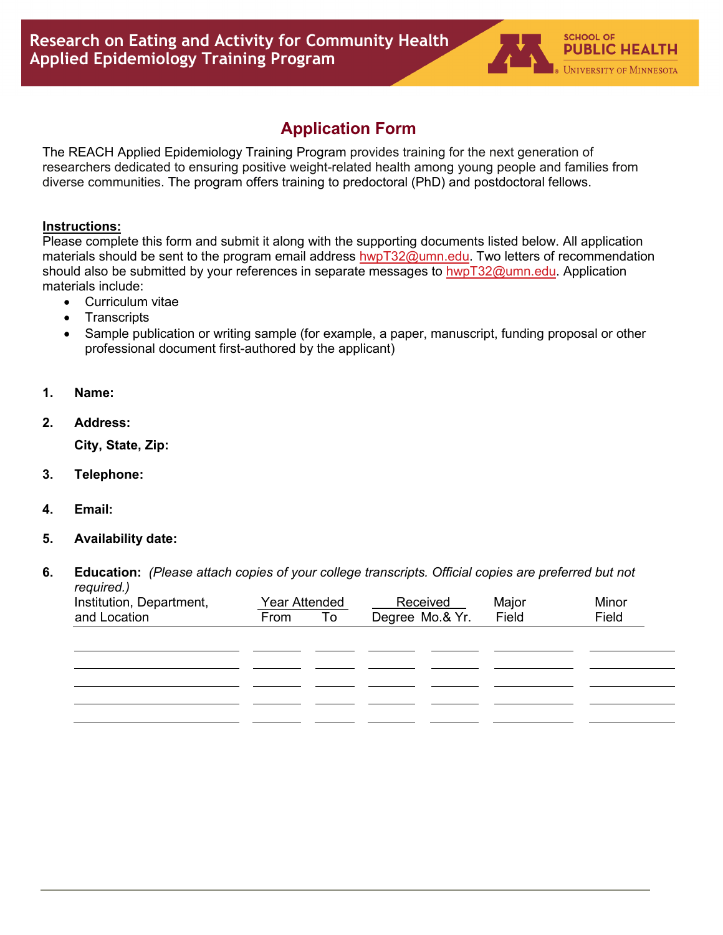## **Application Form**

The REACH Applied Epidemiology Training Program provides training for the next generation of researchers dedicated to ensuring positive weight-related health among young people and families from diverse communities. The program offers training to predoctoral (PhD) and postdoctoral fellows.

## **Instructions:**

Please complete this form and submit it along with the supporting documents listed below. All application materials should be sent to the program email address [hwpT32@umn.edu.](mailto:hwpT32@umn.edu) Two letters of recommendation should also be submitted by your references in separate messages to [hwpT32@umn.edu.](mailto:hwpT32@umn.edu) Application materials include:

- Curriculum vitae
- **Transcripts**
- Sample publication or writing sample (for example, a paper, manuscript, funding proposal or other professional document first-authored by the applicant)
- **1. Name:**
- **2. Address:**

**City, State, Zip:**

- **3. Telephone:**
- **4. Email:**
- **5. Availability date:**
- **6. Education:** *(Please attach copies of your college transcripts. Official copies are preferred but not required.)*

| Institution, Department, | Year Attended |           | Received        | Major | Minor |
|--------------------------|---------------|-----------|-----------------|-------|-------|
| and Location             | From          | <b>To</b> | Degree Mo.& Yr. | Field | Field |
|                          |               |           |                 |       |       |
|                          |               |           |                 |       |       |
|                          |               |           |                 |       |       |
|                          |               |           |                 |       |       |
|                          |               |           |                 |       |       |
|                          |               |           |                 |       |       |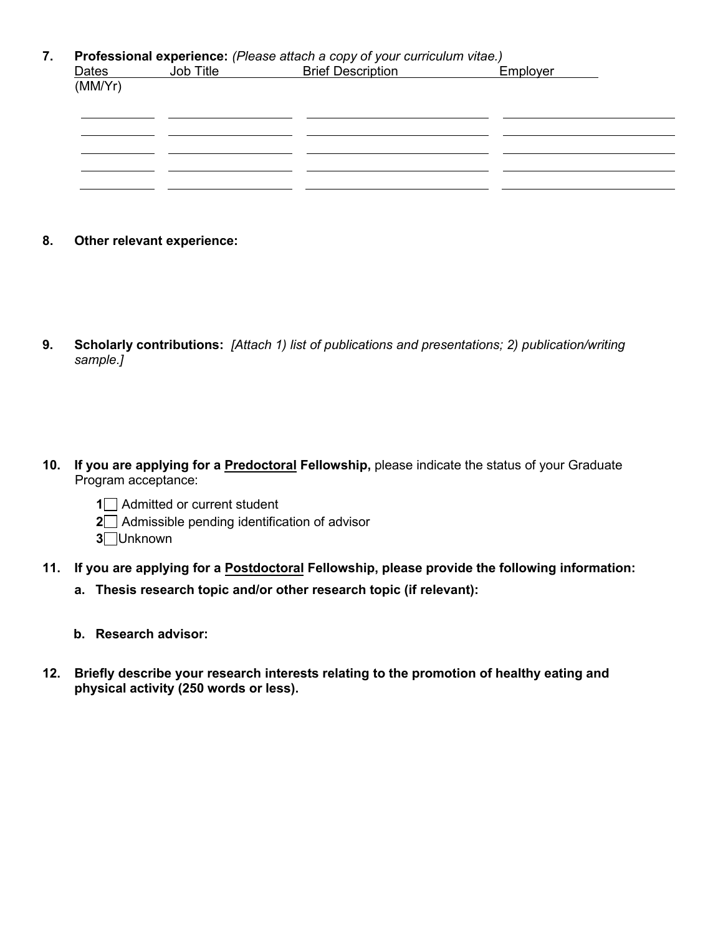## **7. Professional experience:** *(Please attach a copy of your curriculum vitae.)*

|                  | Job Title | <b>Brief Description</b> | Employer |  |
|------------------|-----------|--------------------------|----------|--|
| Dates<br>(MM/Yr) |           |                          |          |  |
|                  |           |                          |          |  |
|                  |           |                          |          |  |
|                  |           |                          |          |  |
|                  |           |                          |          |  |
|                  |           |                          |          |  |

- **8. Other relevant experience:**
- **9. Scholarly contributions:** *[Attach 1) list of publications and presentations; 2) publication/writing sample.]*
- **10. If you are applying for a Predoctoral Fellowship,** please indicate the status of your Graduate Program acceptance:
	- **1** Admitted or current student
	- **2** Admissible pending identification of advisor
	- **3** Unknown
- **11. If you are applying for a Postdoctoral Fellowship, please provide the following information:**
	- **a. Thesis research topic and/or other research topic (if relevant):**
	- **b. Research advisor:**
- **12. Briefly describe your research interests relating to the promotion of healthy eating and physical activity (250 words or less).**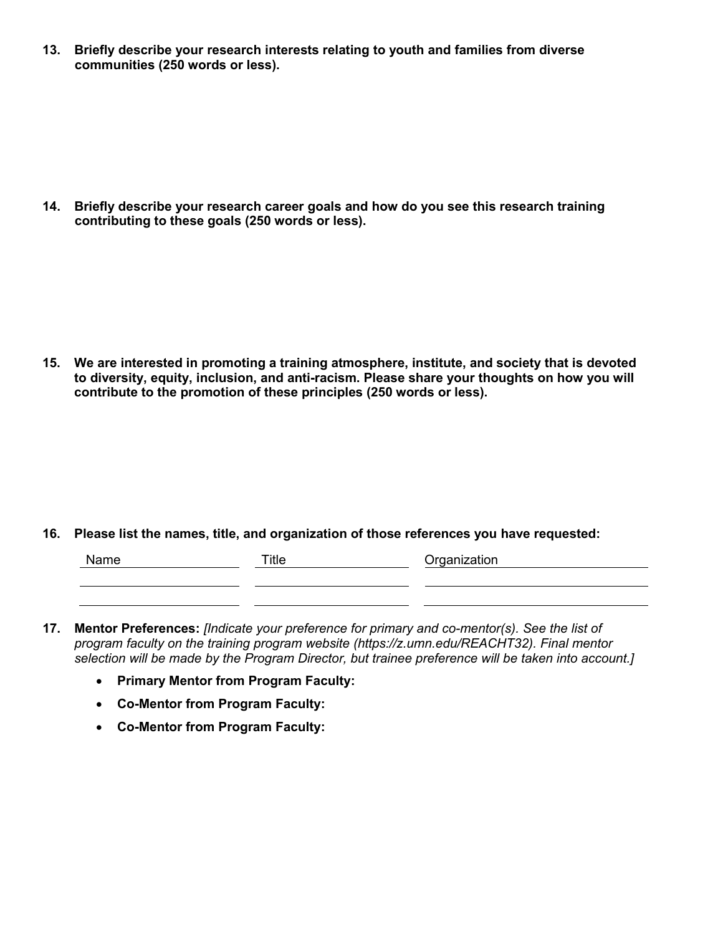**13. Briefly describe your research interests relating to youth and families from diverse communities (250 words or less).**

**14. Briefly describe your research career goals and how do you see this research training contributing to these goals (250 words or less).**

**15. We are interested in promoting a training atmosphere, institute, and society that is devoted to diversity, equity, inclusion, and anti-racism. Please share your thoughts on how you will contribute to the promotion of these principles (250 words or less).**

**16. Please list the names, title, and organization of those references you have requested:**

| Name | Title | Organization |
|------|-------|--------------|
|      |       |              |
|      |       |              |

- **17. Mentor Preferences:** *[Indicate your preference for primary and co-mentor(s). See the list of program faculty on the training program website (https://z.umn.edu/REACHT32). Final mentor selection will be made by the Program Director, but trainee preference will be taken into account.]*
	- **Primary Mentor from Program Faculty:**
	- **Co-Mentor from Program Faculty:**
	- **Co-Mentor from Program Faculty:**